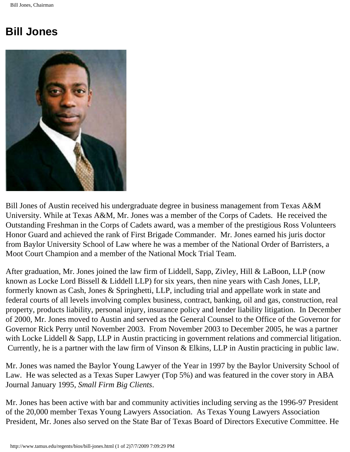## **Bill Jones**



Bill Jones of Austin received his undergraduate degree in business management from Texas A&M University. While at Texas A&M, Mr. Jones was a member of the Corps of Cadets. He received the Outstanding Freshman in the Corps of Cadets award, was a member of the prestigious Ross Volunteers Honor Guard and achieved the rank of First Brigade Commander. Mr. Jones earned his juris doctor from Baylor University School of Law where he was a member of the National Order of Barristers, a Moot Court Champion and a member of the National Mock Trial Team.

After graduation, Mr. Jones joined the law firm of Liddell, Sapp, Zivley, Hill & LaBoon, LLP (now known as Locke Lord Bissell & Liddell LLP) for six years, then nine years with Cash Jones, LLP, formerly known as Cash, Jones & Springhetti, LLP, including trial and appellate work in state and federal courts of all levels involving complex business, contract, banking, oil and gas, construction, real property, products liability, personal injury, insurance policy and lender liability litigation. In December of 2000, Mr. Jones moved to Austin and served as the General Counsel to the Office of the Governor for Governor Rick Perry until November 2003. From November 2003 to December 2005, he was a partner with Locke Liddell & Sapp, LLP in Austin practicing in government relations and commercial litigation. Currently, he is a partner with the law firm of Vinson & Elkins, LLP in Austin practicing in public law.

Mr. Jones was named the Baylor Young Lawyer of the Year in 1997 by the Baylor University School of Law. He was selected as a Texas Super Lawyer (Top 5%) and was featured in the cover story in ABA Journal January 1995, *Small Firm Big Clients*.

Mr. Jones has been active with bar and community activities including serving as the 1996-97 President of the 20,000 member Texas Young Lawyers Association. As Texas Young Lawyers Association President, Mr. Jones also served on the State Bar of Texas Board of Directors Executive Committee. He